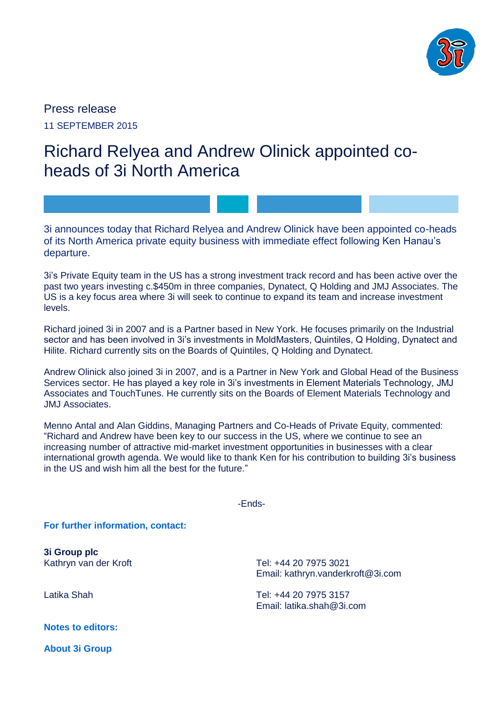

Press release 11 SEPTEMBER 2015

## Richard Relyea and Andrew Olinick appointed coheads of 3i North America

3i announces today that Richard Relyea and Andrew Olinick have been appointed co-heads of its North America private equity business with immediate effect following Ken Hanau's departure.

3i's Private Equity team in the US has a strong investment track record and has been active over the past two years investing c.\$450m in three companies, Dynatect, Q Holding and JMJ Associates. The US is a key focus area where 3i will seek to continue to expand its team and increase investment levels.

Richard joined 3i in 2007 and is a Partner based in New York. He focuses primarily on the Industrial sector and has been involved in 3i's investments in MoldMasters, Quintiles, Q Holding, Dynatect and Hilite. Richard currently sits on the Boards of Quintiles, Q Holding and Dynatect.

Andrew Olinick also joined 3i in 2007, and is a Partner in New York and Global Head of the Business Services sector. He has played a key role in 3i's investments in Element Materials Technology, JMJ Associates and TouchTunes. He currently sits on the Boards of Element Materials Technology and JMJ Associates.

Menno Antal and Alan Giddins, Managing Partners and Co-Heads of Private Equity, commented: "Richard and Andrew have been key to our success in the US, where we continue to see an increasing number of attractive mid-market investment opportunities in businesses with a clear international growth agenda. We would like to thank Ken for his contribution to building 3i's business in the US and wish him all the best for the future."

-Ends-

**For further information, contact:**

**3i Group plc** Kathryn van der Kroft

Latika Shah

**Notes to editors:**

**About 3i Group**

Tel: +44 20 7975 3021 Email: kathryn.vanderkroft@3i.com

Tel: +44 20 7975 3157 Email: latika.shah@3i.com